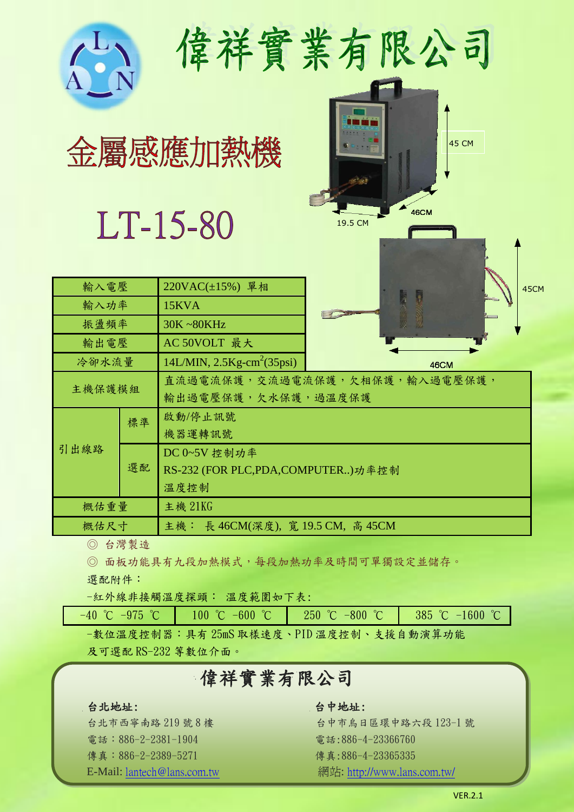|        |    | 金屬感應加熱機<br>LT-15-80               | 偉祥實業有限公司<br><b>45 CM</b><br><b>46CM</b><br>19.5 CM |  |  |
|--------|----|-----------------------------------|----------------------------------------------------|--|--|
| 輸入電壓   |    | 220VAC(±15%) 單相                   | 45CM                                               |  |  |
| 輸入功率   |    | 15KVA                             |                                                    |  |  |
| 振盪頻率   |    | 30K~80KHz                         |                                                    |  |  |
| 輸出電壓   |    | AC 50VOLT 最大                      |                                                    |  |  |
| 冷卻水流量  |    | $14L/MIN$ , $2.5Kg-cm2(35psi)$    | 46CM                                               |  |  |
| 主機保護模組 |    | 輸出過電壓保護,欠水保護,過溫度保護                | 直流過電流保護,交流過電流保護,欠相保護,輸入過電壓保護,                      |  |  |
| 引出線路   | 標準 | 啟動/停止訊號                           |                                                    |  |  |
|        |    | 機器運轉訊號                            |                                                    |  |  |
|        | 選配 | DC 0~5V 控制功率                      |                                                    |  |  |
|        |    | RS-232 (FOR PLC,PDA,COMPUTER)功率控制 |                                                    |  |  |
|        |    | 溫度控制                              |                                                    |  |  |
| 概估重量   |    | 主機 21KG                           |                                                    |  |  |
| 概估尺寸   |    | 主機: 長 46CM(深度), 寬 19.5 CM, 高 45CM |                                                    |  |  |

◎ 台灣製造

◎ 面板功能具有九段加熱模式,每段加熱功率及時間可單獨設定並儲存。

選配附件:

-紅外線非接觸溫度探頭: 溫度範圍如下表:

|  | $-40$ °C $-975$ °C $-100$ °C $-600$ °C $-800$ °C $-800$ °C $-385$ °C $-1600$ °C |  |
|--|---------------------------------------------------------------------------------|--|
|  | -數位溫度控制器:具有25mS取樣速度、PID溫度控制、支援自動演算功能                                            |  |

及可選配 RS-232 等數位介面。

# 偉祥實業有限公司

### 台北地址: 台中地址:

電話:886-2-2381-1904 電話:886-4-23366760 傳真:886-2-2389-5271 傳真:886-4-23365335

台北市西寧南路 219號 8樓 李 《 台中市烏日區環中路六段 123-1 號 E-Mail: <u>lantech@lans.com.tw</u> <br> **E-Mail:** <u>lantech@lans.com.tw</u>